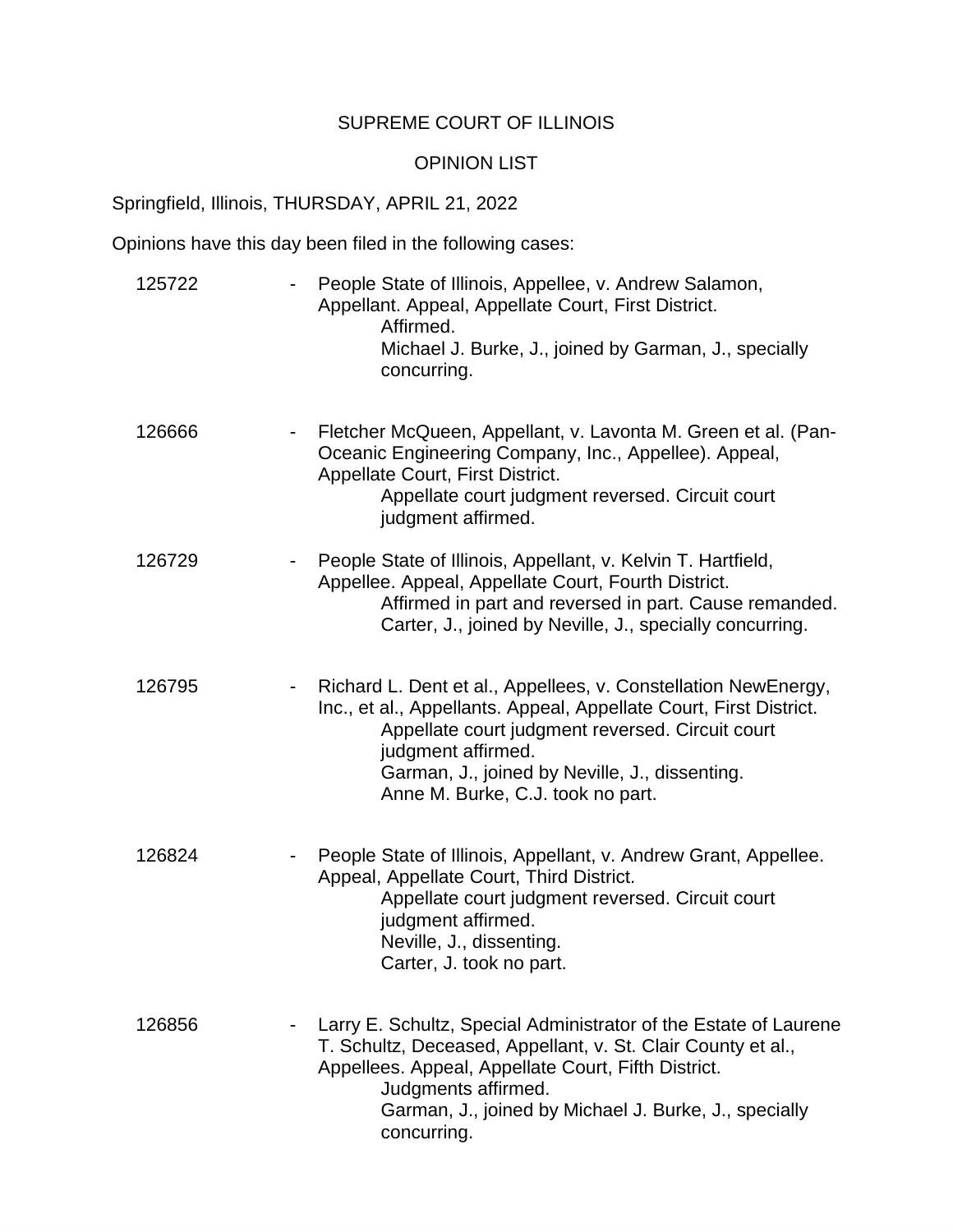## SUPREME COURT OF ILLINOIS

## OPINION LIST

Springfield, Illinois, THURSDAY, APRIL 21, 2022

Opinions have this day been filed in the following cases:

| 125722 | People State of Illinois, Appellee, v. Andrew Salamon,<br>Appellant. Appeal, Appellate Court, First District.<br>Affirmed.<br>Michael J. Burke, J., joined by Garman, J., specially<br>concurring.                                                                                                    |
|--------|-------------------------------------------------------------------------------------------------------------------------------------------------------------------------------------------------------------------------------------------------------------------------------------------------------|
| 126666 | Fletcher McQueen, Appellant, v. Lavonta M. Green et al. (Pan-<br>Oceanic Engineering Company, Inc., Appellee). Appeal,<br>Appellate Court, First District.<br>Appellate court judgment reversed. Circuit court<br>judgment affirmed.                                                                  |
| 126729 | People State of Illinois, Appellant, v. Kelvin T. Hartfield,<br>Appellee. Appeal, Appellate Court, Fourth District.<br>Affirmed in part and reversed in part. Cause remanded.<br>Carter, J., joined by Neville, J., specially concurring.                                                             |
| 126795 | Richard L. Dent et al., Appellees, v. Constellation NewEnergy,<br>Inc., et al., Appellants. Appeal, Appellate Court, First District.<br>Appellate court judgment reversed. Circuit court<br>judgment affirmed.<br>Garman, J., joined by Neville, J., dissenting.<br>Anne M. Burke, C.J. took no part. |
| 126824 | People State of Illinois, Appellant, v. Andrew Grant, Appellee.<br>Appeal, Appellate Court, Third District.<br>Appellate court judgment reversed. Circuit court<br>judgment affirmed.<br>Neville, J., dissenting.<br>Carter, J. took no part.                                                         |
| 126856 | Larry E. Schultz, Special Administrator of the Estate of Laurene<br>T. Schultz, Deceased, Appellant, v. St. Clair County et al.,<br>Appellees. Appeal, Appellate Court, Fifth District.<br>Judgments affirmed.<br>Garman, J., joined by Michael J. Burke, J., specially<br>concurring.                |